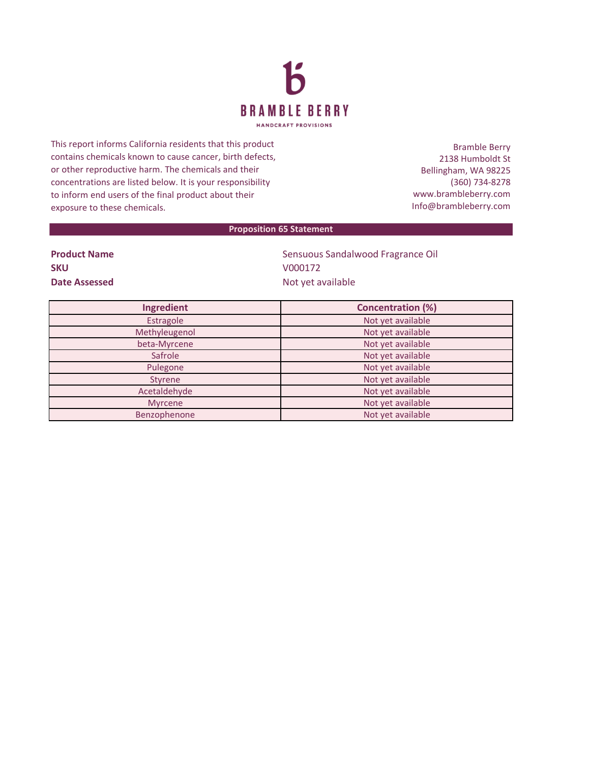

This report informs California residents that this product contains chemicals known to cause cancer, birth defects, or other reproductive harm. The chemicals and their concentrations are listed below. It is your responsibility to inform end users of the final product about their exposure to these chemicals.

Bramble Berry 2138 Humboldt St Bellingham, WA 98225 (360) 734-8278 www.brambleberry.com Info@brambleberry.com

## **Proposition 65 Statement**

| <b>Product Name</b> |
|---------------------|
| <b>SKU</b>          |
| Date Assessed       |

**Sensuous Sandalwood Fragrance Oil SKU** V000172 **Date Assessed** Not yet available

| Ingredient     | <b>Concentration (%)</b> |
|----------------|--------------------------|
| Estragole      | Not yet available        |
| Methyleugenol  | Not yet available        |
| beta-Myrcene   | Not yet available        |
| Safrole        | Not yet available        |
| Pulegone       | Not yet available        |
| Styrene        | Not yet available        |
| Acetaldehyde   | Not yet available        |
| <b>Myrcene</b> | Not yet available        |
| Benzophenone   | Not yet available        |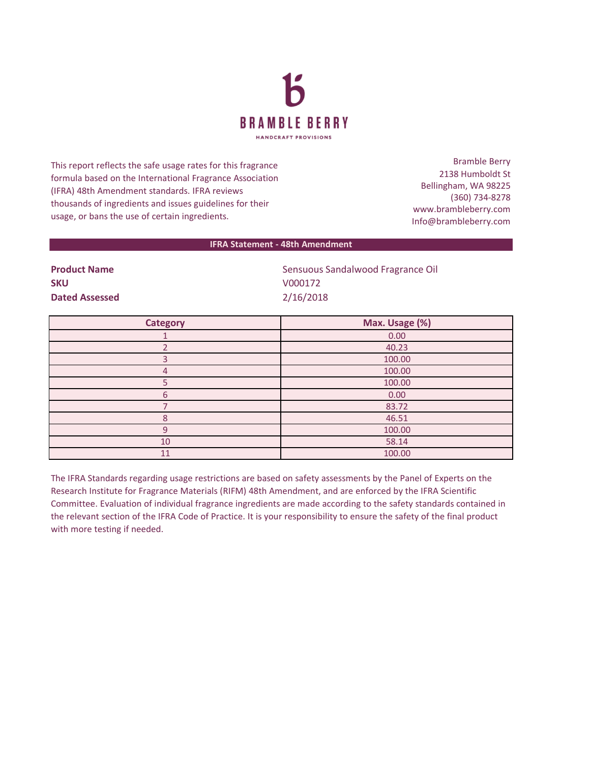

This report reflects the safe usage rates for this fragrance formula based on the International Fragrance Association (IFRA) 48th Amendment standards. IFRA reviews thousands of ingredients and issues guidelines for their usage, or bans the use of certain ingredients.

Bramble Berry 2138 Humboldt St Bellingham, WA 98225 (360) 734-8278 www.brambleberry.com Info@brambleberry.com

## **IFRA Statement - 48th Amendment**

**SKU** V000172 **Dated Assessed** 2/16/2018

**Product Name** Sensuous Sandalwood Fragrance Oil

| <b>Category</b> | Max. Usage (%) |
|-----------------|----------------|
|                 | 0.00           |
|                 | 40.23          |
|                 | 100.00         |
| 4               | 100.00         |
|                 | 100.00         |
| 6               | 0.00           |
|                 | 83.72          |
| R               | 46.51          |
| q               | 100.00         |
| 10              | 58.14          |
| 11              | 100.00         |

The IFRA Standards regarding usage restrictions are based on safety assessments by the Panel of Experts on the Research Institute for Fragrance Materials (RIFM) 48th Amendment, and are enforced by the IFRA Scientific Committee. Evaluation of individual fragrance ingredients are made according to the safety standards contained in the relevant section of the IFRA Code of Practice. It is your responsibility to ensure the safety of the final product with more testing if needed.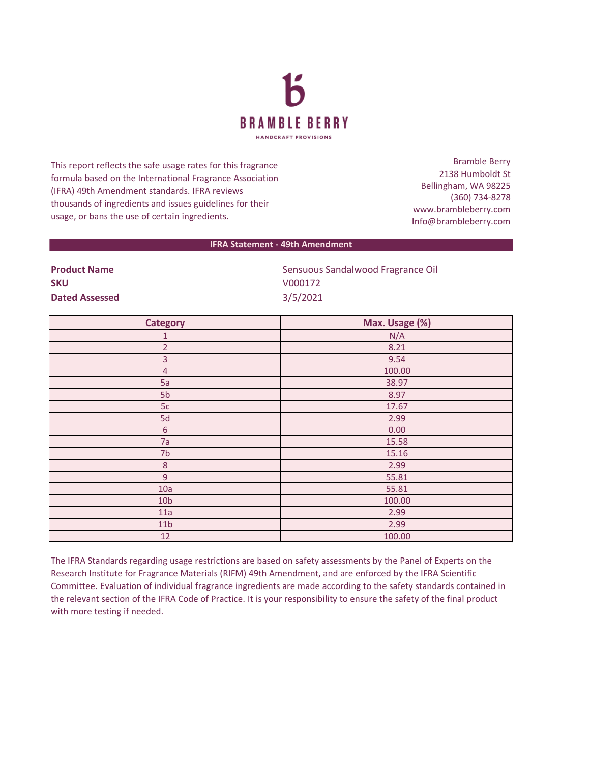

This report reflects the safe usage rates for this fragrance formula based on the International Fragrance Association (IFRA) 49th Amendment standards. IFRA reviews thousands of ingredients and issues guidelines for their usage, or bans the use of certain ingredients.

Bramble Berry 2138 Humboldt St Bellingham, WA 98225 (360) 734-8278 www.brambleberry.com Info@brambleberry.com

## **IFRA Statement - 49th Amendment**

| <b>Product Name</b>   | Sensuous Sandalwood Fragrance Oil |
|-----------------------|-----------------------------------|
| SKU                   | V000172                           |
| <b>Dated Assessed</b> | 3/5/2021                          |

| <b>Category</b> | Max. Usage (%) |
|-----------------|----------------|
| 1               | N/A            |
| $\overline{2}$  | 8.21           |
| $\overline{3}$  | 9.54           |
| $\overline{4}$  | 100.00         |
| 5a              | 38.97          |
| 5b              | 8.97           |
| 5c              | 17.67          |
| 5d              | 2.99           |
| $\sqrt{6}$      | 0.00           |
| 7a              | 15.58          |
| 7 <sub>b</sub>  | 15.16          |
| $\,8\,$         | 2.99           |
| $\overline{9}$  | 55.81          |
| 10a             | 55.81          |
| 10 <sub>b</sub> | 100.00         |
| 11a             | 2.99           |
| 11 <sub>b</sub> | 2.99           |
| 12              | 100.00         |

The IFRA Standards regarding usage restrictions are based on safety assessments by the Panel of Experts on the Research Institute for Fragrance Materials (RIFM) 49th Amendment, and are enforced by the IFRA Scientific Committee. Evaluation of individual fragrance ingredients are made according to the safety standards contained in the relevant section of the IFRA Code of Practice. It is your responsibility to ensure the safety of the final product with more testing if needed.